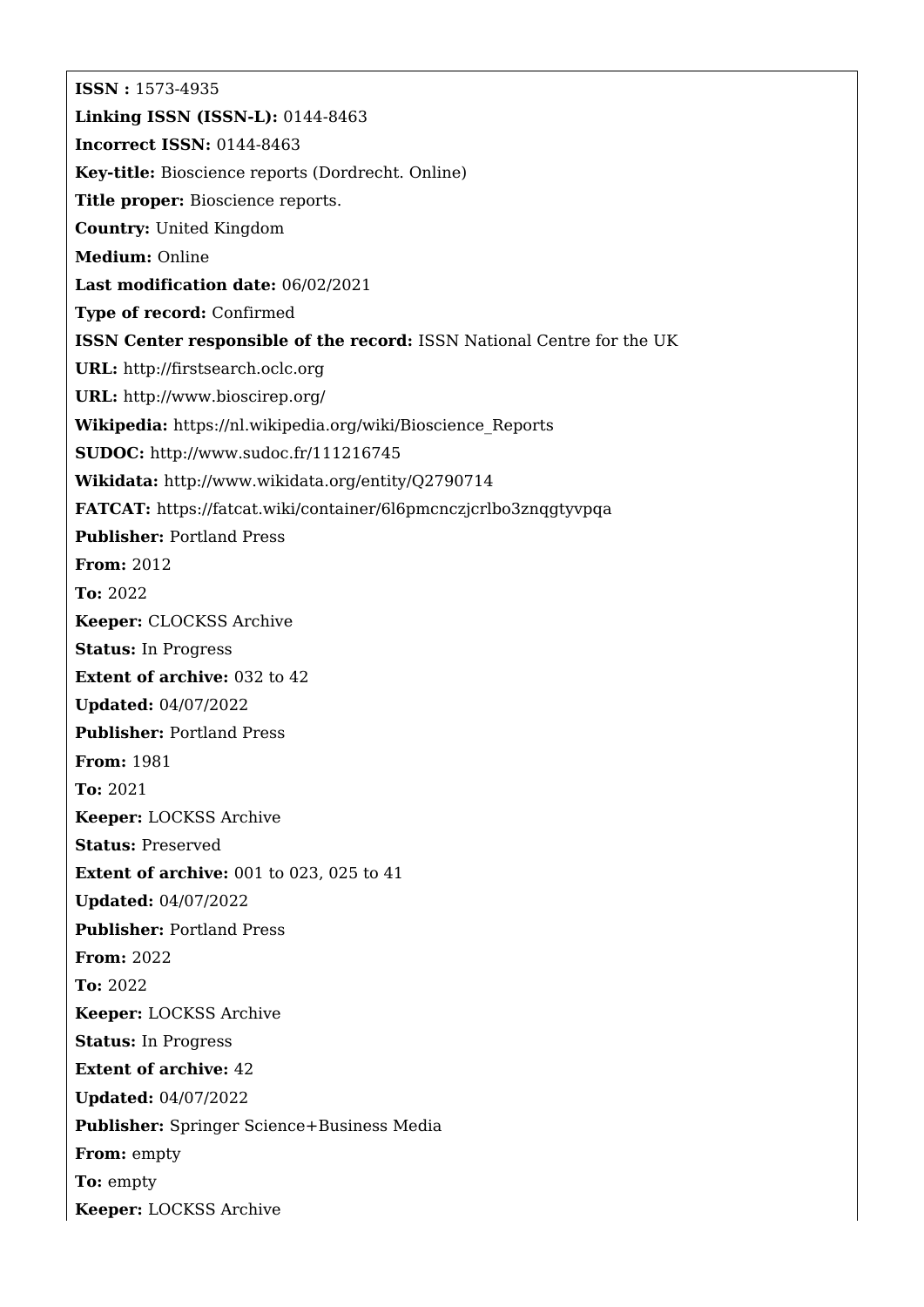**ISSN :** 1573-4935 **Linking ISSN (ISSN-L):** 0144-8463 **Incorrect ISSN:** 0144-8463 **Key-title:** Bioscience reports (Dordrecht. Online) **Title proper:** Bioscience reports. **Country:** United Kingdom **Medium:** Online **Last modification date:** 06/02/2021 **Type of record:** Confirmed **ISSN Center responsible of the record:** ISSN National Centre for the UK **URL:** <http://firstsearch.oclc.org> **URL:** <http://www.bioscirep.org/> **Wikipedia:** [https://nl.wikipedia.org/wiki/Bioscience\\_Reports](https://nl.wikipedia.org/wiki/Bioscience_Reports) **SUDOC:** <http://www.sudoc.fr/111216745> **Wikidata:** <http://www.wikidata.org/entity/Q2790714> **FATCAT:** <https://fatcat.wiki/container/6l6pmcnczjcrlbo3znqgtyvpqa> **Publisher:** Portland Press **From:** 2012 **To:** 2022 **Keeper:** CLOCKSS Archive **Status:** In Progress **Extent of archive: 032 to 42 Updated:** 04/07/2022 **Publisher:** Portland Press **From:** 1981 **To:** 2021 **Keeper:** LOCKSS Archive **Status:** Preserved **Extent of archive:** 001 to 023, 025 to 41 **Updated:** 04/07/2022 **Publisher:** Portland Press **From:** 2022 **To:** 2022 **Keeper:** LOCKSS Archive **Status:** In Progress **Extent of archive:** 42 **Updated:** 04/07/2022 **Publisher:** Springer Science+Business Media **From:** empty **To:** empty **Keeper:** LOCKSS Archive